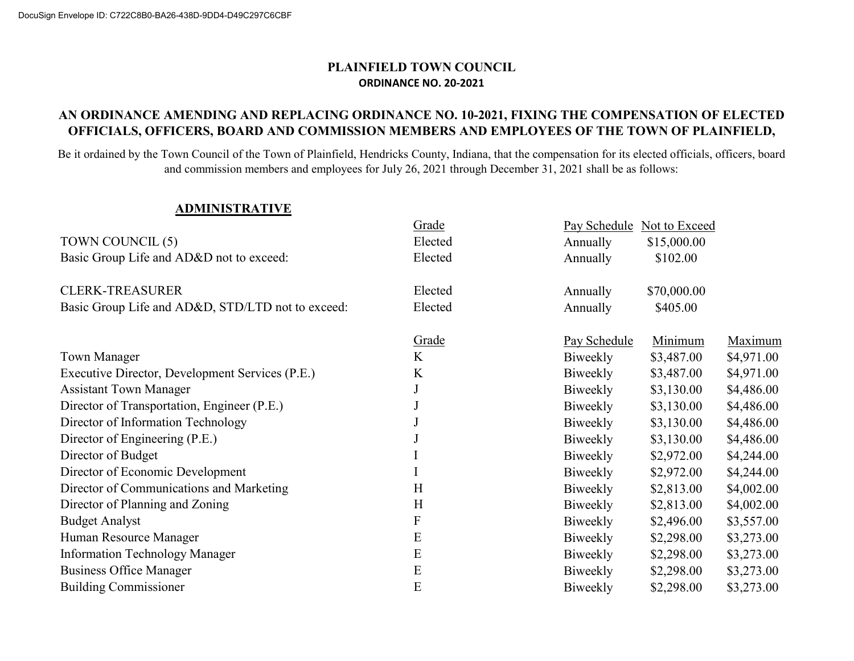### PLAINFIELD TOWN COUNCIL ORDINANCE NO. 20-2021

### AN ORDINANCE AMENDING AND REPLACING ORDINANCE NO. 10-2021, FIXING THE COMPENSATION OF ELECTED OFFICIALS, OFFICERS, BOARD AND COMMISSION MEMBERS AND EMPLOYEES OF THE TOWN OF PLAINFIELD,

Be it ordained by the Town Council of the Town of Plainfield, Hendricks County, Indiana, that the compensation for its elected officials, officers, board and commission members and employees for July 26, 2021 through December 31, 2021 shall be as follows:

#### ADMINISTRATIVE

|                                                   | Grade        |              | Pay Schedule Not to Exceed |            |
|---------------------------------------------------|--------------|--------------|----------------------------|------------|
| TOWN COUNCIL (5)                                  | Elected      | Annually     | \$15,000.00                |            |
| Basic Group Life and AD&D not to exceed:          | Elected      | Annually     | \$102.00                   |            |
| <b>CLERK-TREASURER</b>                            | Elected      | Annually     | \$70,000.00                |            |
| Basic Group Life and AD&D, STD/LTD not to exceed: | Elected      | Annually     | \$405.00                   |            |
|                                                   | <b>Grade</b> | Pay Schedule | Minimum                    | Maximum    |
| <b>Town Manager</b>                               | K            | Biweekly     | \$3,487.00                 | \$4,971.00 |
| Executive Director, Development Services (P.E.)   | K            | Biweekly     | \$3,487.00                 | \$4,971.00 |
| <b>Assistant Town Manager</b>                     |              | Biweekly     | \$3,130.00                 | \$4,486.00 |
| Director of Transportation, Engineer (P.E.)       |              | Biweekly     | \$3,130.00                 | \$4,486.00 |
| Director of Information Technology                |              | Biweekly     | \$3,130.00                 | \$4,486.00 |
| Director of Engineering (P.E.)                    |              | Biweekly     | \$3,130.00                 | \$4,486.00 |
| Director of Budget                                |              | Biweekly     | \$2,972.00                 | \$4,244.00 |
| Director of Economic Development                  |              | Biweekly     | \$2,972.00                 | \$4,244.00 |
| Director of Communications and Marketing          | H            | Biweekly     | \$2,813.00                 | \$4,002.00 |
| Director of Planning and Zoning                   | H            | Biweekly     | \$2,813.00                 | \$4,002.00 |
| <b>Budget Analyst</b>                             | F            | Biweekly     | \$2,496.00                 | \$3,557.00 |
| Human Resource Manager                            | E            | Biweekly     | \$2,298.00                 | \$3,273.00 |
| <b>Information Technology Manager</b>             | E            | Biweekly     | \$2,298.00                 | \$3,273.00 |
| <b>Business Office Manager</b>                    | E            | Biweekly     | \$2,298.00                 | \$3,273.00 |
| <b>Building Commissioner</b>                      | E            | Biweekly     | \$2,298.00                 | \$3,273.00 |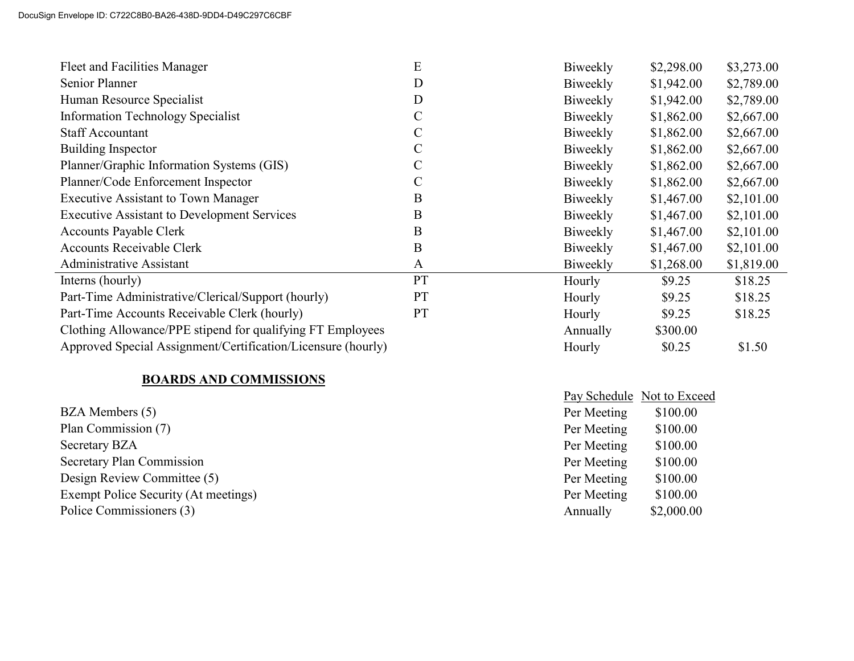| Fleet and Facilities Manager                                 | E            | Biweekly | \$2,298.00 | \$3,273.00 |
|--------------------------------------------------------------|--------------|----------|------------|------------|
| Senior Planner                                               | D            | Biweekly | \$1,942.00 | \$2,789.00 |
| Human Resource Specialist                                    | D            | Biweekly | \$1,942.00 | \$2,789.00 |
| <b>Information Technology Specialist</b>                     | C            | Biweekly | \$1,862.00 | \$2,667.00 |
| <b>Staff Accountant</b>                                      | C            | Biweekly | \$1,862.00 | \$2,667.00 |
| Building Inspector                                           |              | Biweekly | \$1,862.00 | \$2,667.00 |
| Planner/Graphic Information Systems (GIS)                    |              | Biweekly | \$1,862.00 | \$2,667.00 |
| Planner/Code Enforcement Inspector                           | C            | Biweekly | \$1,862.00 | \$2,667.00 |
| <b>Executive Assistant to Town Manager</b>                   | В            | Biweekly | \$1,467.00 | \$2,101.00 |
| <b>Executive Assistant to Development Services</b>           | B            | Biweekly | \$1,467.00 | \$2,101.00 |
| <b>Accounts Payable Clerk</b>                                | B            | Biweekly | \$1,467.00 | \$2,101.00 |
| <b>Accounts Receivable Clerk</b>                             | B            | Biweekly | \$1,467.00 | \$2,101.00 |
| Administrative Assistant                                     | $\mathbf{A}$ | Biweekly | \$1,268.00 | \$1,819.00 |
| Interns (hourly)                                             | PT           | Hourly   | \$9.25     | \$18.25    |
| Part-Time Administrative/Clerical/Support (hourly)           | <b>PT</b>    | Hourly   | \$9.25     | \$18.25    |
| Part-Time Accounts Receivable Clerk (hourly)                 | <b>PT</b>    | Hourly   | \$9.25     | \$18.25    |
| Clothing Allowance/PPE stipend for qualifying FT Employees   |              | Annually | \$300.00   |            |
| Approved Special Assignment/Certification/Licensure (hourly) |              | Hourly   | \$0.25     | \$1.50     |

## BOARDS AND COMMISSIONS

| BZA Members (5)                      |
|--------------------------------------|
| Plan Commission (7)                  |
| Secretary BZA                        |
| <b>Secretary Plan Commission</b>     |
| Design Review Committee (5)          |
| Exempt Police Security (At meetings) |
| Police Commissioners (3)             |

| Pay Schedule | Not to Exceed |
|--------------|---------------|
| Per Meeting  | \$100.00      |
| Per Meeting  | \$100.00      |
| Per Meeting  | \$100.00      |
| Per Meeting  | \$100.00      |
| Per Meeting  | \$100.00      |
| Per Meeting  | \$100.00      |
| Annually     | \$2,000.00    |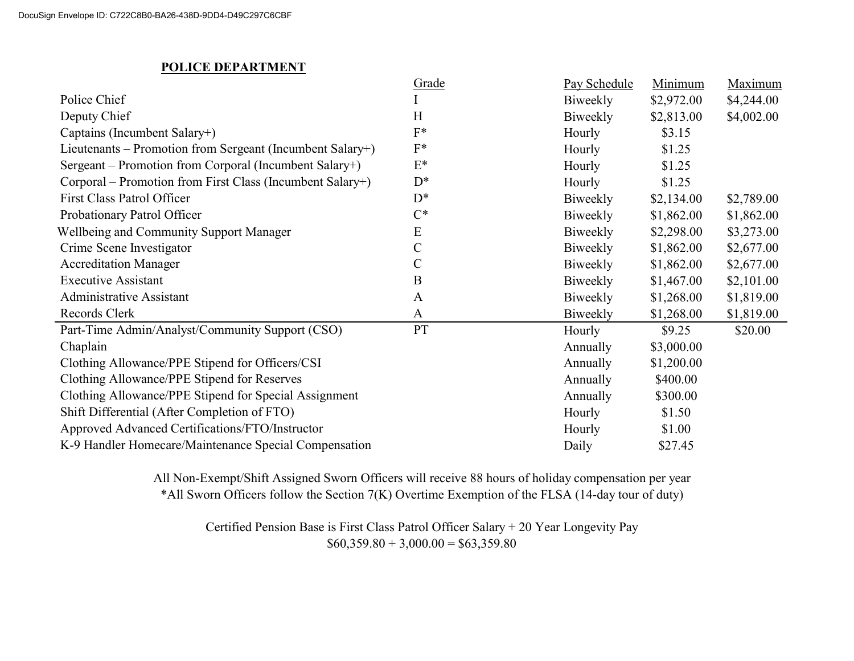### POLICE DEPARTMENT

|                                                           | Grade         | Pay Schedule | Minimum    | Maximum    |
|-----------------------------------------------------------|---------------|--------------|------------|------------|
| Police Chief                                              |               | Biweekly     | \$2,972.00 | \$4,244.00 |
| Deputy Chief                                              | H             | Biweekly     | \$2,813.00 | \$4,002.00 |
| Captains (Incumbent Salary+)                              | $F^*$         | Hourly       | \$3.15     |            |
| Lieutenants – Promotion from Sergeant (Incumbent Salary+) | $F^*$         | Hourly       | \$1.25     |            |
| Sergeant – Promotion from Corporal (Incumbent Salary+)    | $E^*$         | Hourly       | \$1.25     |            |
| Corporal – Promotion from First Class (Incumbent Salary+) | $D^*$         | Hourly       | \$1.25     |            |
| <b>First Class Patrol Officer</b>                         | $D^*$         | Biweekly     | \$2,134.00 | \$2,789.00 |
| Probationary Patrol Officer                               | $C^*$         | Biweekly     | \$1,862.00 | \$1,862.00 |
| <b>Wellbeing and Community Support Manager</b>            | E             | Biweekly     | \$2,298.00 | \$3,273.00 |
| Crime Scene Investigator                                  | $\mathcal{C}$ | Biweekly     | \$1,862.00 | \$2,677.00 |
| <b>Accreditation Manager</b>                              | $\mathcal{C}$ | Biweekly     | \$1,862.00 | \$2,677.00 |
| <b>Executive Assistant</b>                                | B             | Biweekly     | \$1,467.00 | \$2,101.00 |
| <b>Administrative Assistant</b>                           | $\mathbf{A}$  | Biweekly     | \$1,268.00 | \$1,819.00 |
| Records Clerk                                             | $\mathbf{A}$  | Biweekly     | \$1,268.00 | \$1,819.00 |
| Part-Time Admin/Analyst/Community Support (CSO)           | PT            | Hourly       | \$9.25     | \$20.00    |
| Chaplain                                                  |               | Annually     | \$3,000.00 |            |
| Clothing Allowance/PPE Stipend for Officers/CSI           |               | Annually     | \$1,200.00 |            |
| Clothing Allowance/PPE Stipend for Reserves               |               | Annually     | \$400.00   |            |
| Clothing Allowance/PPE Stipend for Special Assignment     |               | Annually     | \$300.00   |            |
| Shift Differential (After Completion of FTO)              |               | Hourly       | \$1.50     |            |
| Approved Advanced Certifications/FTO/Instructor           |               | Hourly       | \$1.00     |            |
| K-9 Handler Homecare/Maintenance Special Compensation     |               | Daily        | \$27.45    |            |

All Non-Exempt/Shift Assigned Sworn Officers will receive 88 hours of holiday compensation per year \*All Sworn Officers follow the Section 7(K) Overtime Exemption of the FLSA (14-day tour of duty)

Certified Pension Base is First Class Patrol Officer Salary + 20 Year Longevity Pay  $$60,359.80 + 3,000.00 = $63,359.80$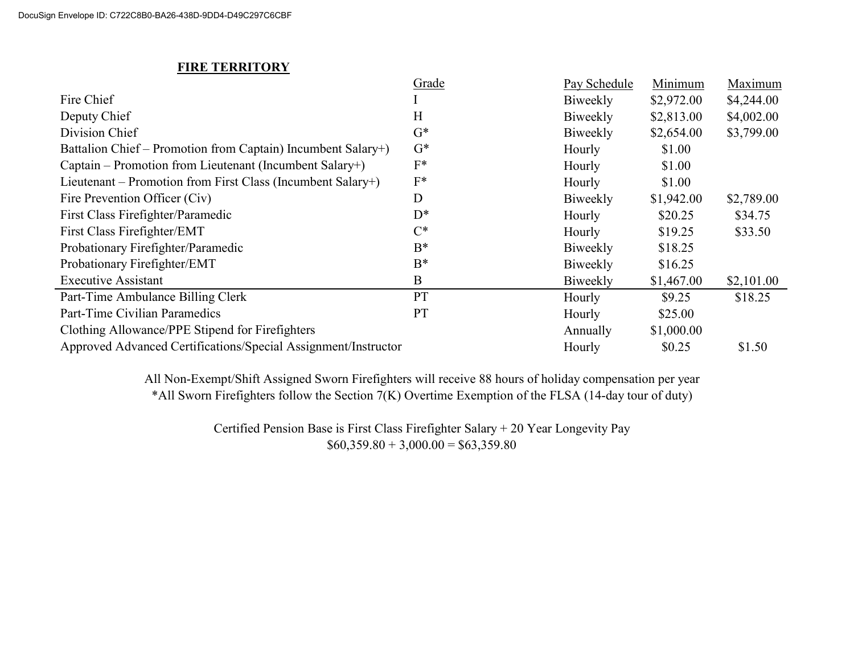### **FIRE TERRITORY**

|                                                                | Grade     | Pay Schedule | Minimum    | Maximum    |
|----------------------------------------------------------------|-----------|--------------|------------|------------|
| Fire Chief                                                     |           | Biweekly     | \$2,972.00 | \$4,244.00 |
| Deputy Chief                                                   | H         | Biweekly     | \$2,813.00 | \$4,002.00 |
| Division Chief                                                 | $G^*$     | Biweekly     | \$2,654.00 | \$3,799.00 |
| Battalion Chief – Promotion from Captain) Incumbent Salary+)   | $G^*$     | Hourly       | \$1.00     |            |
| Captain – Promotion from Lieutenant (Incumbent Salary+)        | $F^*$     | Hourly       | \$1.00     |            |
| Lieutenant – Promotion from First Class (Incumbent Salary+)    | $F^*$     | Hourly       | \$1.00     |            |
| Fire Prevention Officer (Civ)                                  | D         | Biweekly     | \$1,942.00 | \$2,789.00 |
| First Class Firefighter/Paramedic                              | $D^*$     | Hourly       | \$20.25    | \$34.75    |
| First Class Firefighter/EMT                                    | $C^*$     | Hourly       | \$19.25    | \$33.50    |
| Probationary Firefighter/Paramedic                             | $B^*$     | Biweekly     | \$18.25    |            |
| Probationary Firefighter/EMT                                   | $B^*$     | Biweekly     | \$16.25    |            |
| <b>Executive Assistant</b>                                     | B         | Biweekly     | \$1,467.00 | \$2,101.00 |
| Part-Time Ambulance Billing Clerk                              | PT        | Hourly       | \$9.25     | \$18.25    |
| Part-Time Civilian Paramedics                                  | <b>PT</b> | Hourly       | \$25.00    |            |
| Clothing Allowance/PPE Stipend for Firefighters                |           | Annually     | \$1,000.00 |            |
| Approved Advanced Certifications/Special Assignment/Instructor |           | Hourly       | \$0.25     | \$1.50     |

\*All Sworn Firefighters follow the Section 7(K) Overtime Exemption of the FLSA (14-day tour of duty) All Non-Exempt/Shift Assigned Sworn Firefighters will receive 88 hours of holiday compensation per year

> Certified Pension Base is First Class Firefighter Salary + 20 Year Longevity Pay  $$60,359.80 + 3,000.00 = $63,359.80$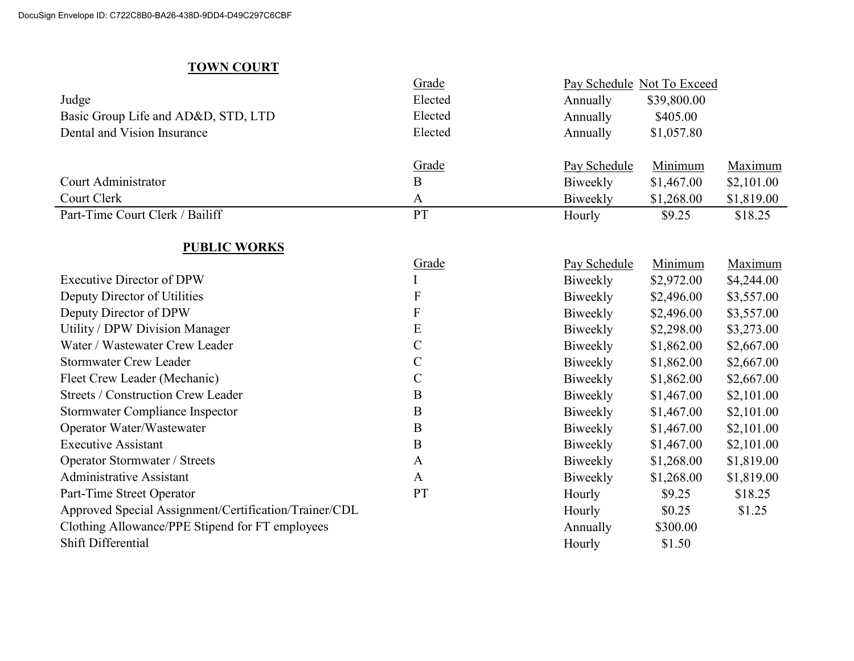# TOWN COURT

|                                                       | Grade                     | Pay Schedule Not To Exceed |             |            |
|-------------------------------------------------------|---------------------------|----------------------------|-------------|------------|
| Judge                                                 | Elected                   | Annually                   | \$39,800.00 |            |
| Basic Group Life and AD&D, STD, LTD                   | Elected                   | Annually                   | \$405.00    |            |
| Dental and Vision Insurance                           | Elected                   | Annually                   | \$1,057.80  |            |
|                                                       |                           |                            |             |            |
|                                                       | Grade                     | Pay Schedule               | Minimum     | Maximum    |
| Court Administrator                                   | B                         | Biweekly                   | \$1,467.00  | \$2,101.00 |
| Court Clerk                                           | A                         | Biweekly                   | \$1,268.00  | \$1,819.00 |
| Part-Time Court Clerk / Bailiff                       | PT                        | Hourly                     | \$9.25      | \$18.25    |
|                                                       |                           |                            |             |            |
| <b>PUBLIC WORKS</b>                                   |                           |                            |             |            |
|                                                       | Grade                     | Pay Schedule               | Minimum     | Maximum    |
| <b>Executive Director of DPW</b>                      | I                         | Biweekly                   | \$2,972.00  | \$4,244.00 |
| Deputy Director of Utilities                          | $\boldsymbol{\mathrm{F}}$ | Biweekly                   | \$2,496.00  | \$3,557.00 |
| Deputy Director of DPW                                | ${\bf F}$                 | Biweekly                   | \$2,496.00  | \$3,557.00 |
| Utility / DPW Division Manager                        | ${\bf E}$                 | Biweekly                   | \$2,298.00  | \$3,273.00 |
| Water / Wastewater Crew Leader                        | $\mathcal{C}$             | Biweekly                   | \$1,862.00  | \$2,667.00 |
| <b>Stormwater Crew Leader</b>                         | $\mathcal{C}$             | Biweekly                   | \$1,862.00  | \$2,667.00 |
| Fleet Crew Leader (Mechanic)                          | $\mathbf C$               | Biweekly                   | \$1,862.00  | \$2,667.00 |
| <b>Streets / Construction Crew Leader</b>             | $\bf{B}$                  | Biweekly                   | \$1,467.00  | \$2,101.00 |
| <b>Stormwater Compliance Inspector</b>                | $\bf{B}$                  | Biweekly                   | \$1,467.00  | \$2,101.00 |
| Operator Water/Wastewater                             | $\bf{B}$                  | Biweekly                   | \$1,467.00  | \$2,101.00 |
| <b>Executive Assistant</b>                            | $\bf{B}$                  | Biweekly                   | \$1,467.00  | \$2,101.00 |
| Operator Stormwater / Streets                         | A                         | Biweekly                   | \$1,268.00  | \$1,819.00 |
| <b>Administrative Assistant</b>                       | A                         | Biweekly                   | \$1,268.00  | \$1,819.00 |
| Part-Time Street Operator                             | <b>PT</b>                 | Hourly                     | \$9.25      | \$18.25    |
| Approved Special Assignment/Certification/Trainer/CDL |                           | Hourly                     | \$0.25      | \$1.25     |
| Clothing Allowance/PPE Stipend for FT employees       |                           | Annually                   | \$300.00    |            |
| Shift Differential                                    |                           | Hourly                     | \$1.50      |            |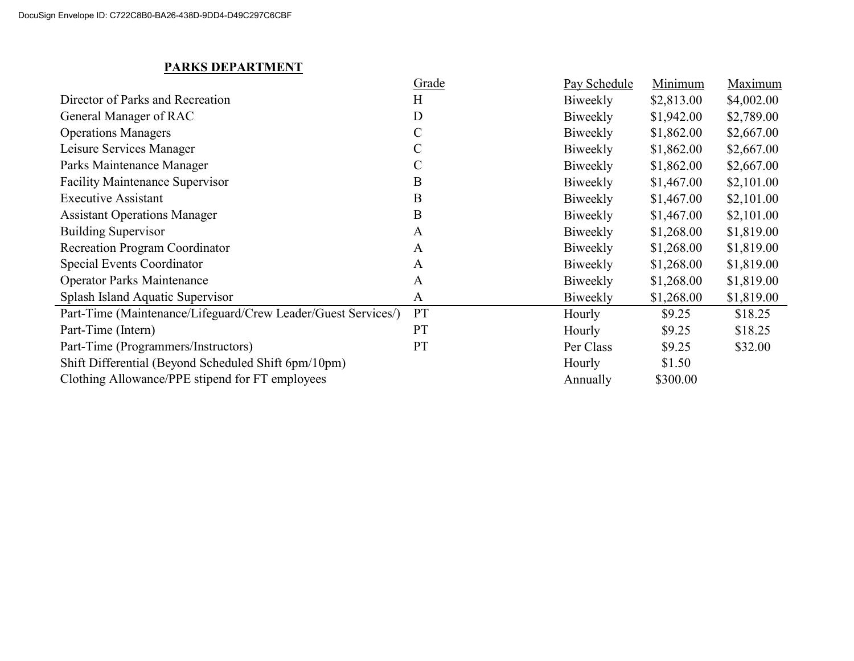# PARKS DEPARTMENT

|                                                               | Grade         | Pay Schedule | Minimum    | Maximum    |
|---------------------------------------------------------------|---------------|--------------|------------|------------|
| Director of Parks and Recreation                              | H             | Biweekly     | \$2,813.00 | \$4,002.00 |
| General Manager of RAC                                        | D             | Biweekly     | \$1,942.00 | \$2,789.00 |
| <b>Operations Managers</b>                                    | $\mathcal{C}$ | Biweekly     | \$1,862.00 | \$2,667.00 |
| Leisure Services Manager                                      |               | Biweekly     | \$1,862.00 | \$2,667.00 |
| Parks Maintenance Manager                                     |               | Biweekly     | \$1,862.00 | \$2,667.00 |
| <b>Facility Maintenance Supervisor</b>                        | B             | Biweekly     | \$1,467.00 | \$2,101.00 |
| <b>Executive Assistant</b>                                    | B             | Biweekly     | \$1,467.00 | \$2,101.00 |
| <b>Assistant Operations Manager</b>                           | B             | Biweekly     | \$1,467.00 | \$2,101.00 |
| <b>Building Supervisor</b>                                    | A             | Biweekly     | \$1,268.00 | \$1,819.00 |
| <b>Recreation Program Coordinator</b>                         | A             | Biweekly     | \$1,268.00 | \$1,819.00 |
| Special Events Coordinator                                    | $\mathbf{A}$  | Biweekly     | \$1,268.00 | \$1,819.00 |
| <b>Operator Parks Maintenance</b>                             | $\mathbf{A}$  | Biweekly     | \$1,268.00 | \$1,819.00 |
| Splash Island Aquatic Supervisor                              | $\mathbf{A}$  | Biweekly     | \$1,268.00 | \$1,819.00 |
| Part-Time (Maintenance/Lifeguard/Crew Leader/Guest Services/) | <b>PT</b>     | Hourly       | \$9.25     | \$18.25    |
| Part-Time (Intern)                                            | PT            | Hourly       | \$9.25     | \$18.25    |
| Part-Time (Programmers/Instructors)                           | PT            | Per Class    | \$9.25     | \$32.00    |
| Shift Differential (Beyond Scheduled Shift 6pm/10pm)          |               | Hourly       | \$1.50     |            |
| Clothing Allowance/PPE stipend for FT employees               |               | Annually     | \$300.00   |            |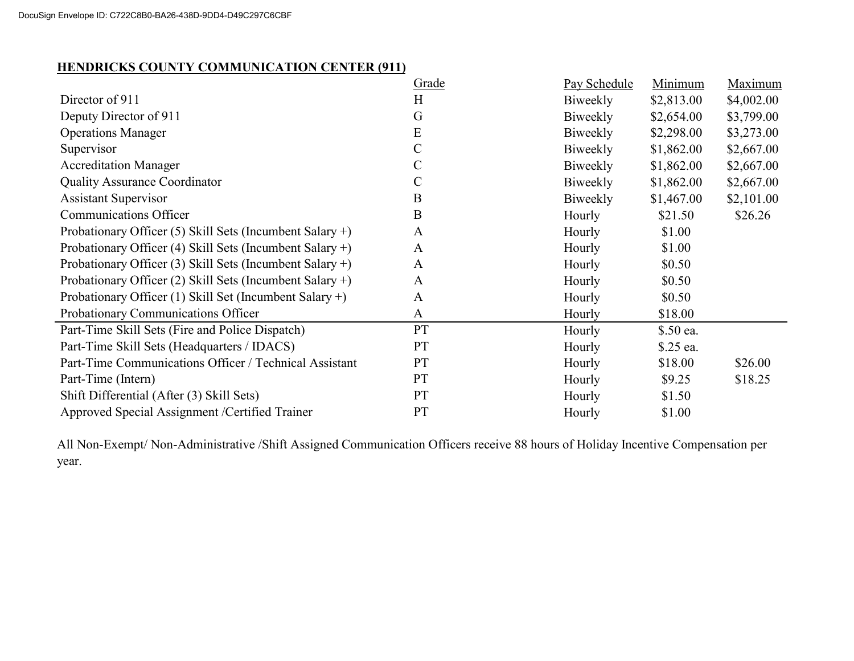### HENDRICKS COUNTY COMMUNICATION CENTER (911)

|                                                            | Grade         | Pay Schedule | Minimum    | Maximum    |
|------------------------------------------------------------|---------------|--------------|------------|------------|
| Director of 911                                            | H             | Biweekly     | \$2,813.00 | \$4,002.00 |
| Deputy Director of 911                                     | G             | Biweekly     | \$2,654.00 | \$3,799.00 |
| <b>Operations Manager</b>                                  | E             | Biweekly     | \$2,298.00 | \$3,273.00 |
| Supervisor                                                 | $\mathsf{C}$  | Biweekly     | \$1,862.00 | \$2,667.00 |
| <b>Accreditation Manager</b>                               | $\mathcal{C}$ | Biweekly     | \$1,862.00 | \$2,667.00 |
| <b>Quality Assurance Coordinator</b>                       | $\mathcal{C}$ | Biweekly     | \$1,862.00 | \$2,667.00 |
| <b>Assistant Supervisor</b>                                | B             | Biweekly     | \$1,467.00 | \$2,101.00 |
| <b>Communications Officer</b>                              | $\bf{B}$      | Hourly       | \$21.50    | \$26.26    |
| Probationary Officer (5) Skill Sets (Incumbent Salary +)   | $\mathbf{A}$  | Hourly       | \$1.00     |            |
| Probationary Officer (4) Skill Sets (Incumbent Salary $+)$ | A             | Hourly       | \$1.00     |            |
| Probationary Officer (3) Skill Sets (Incumbent Salary +)   | $\mathbf{A}$  | Hourly       | \$0.50     |            |
| Probationary Officer (2) Skill Sets (Incumbent Salary +)   | $\mathbf{A}$  | Hourly       | \$0.50     |            |
| Probationary Officer (1) Skill Set (Incumbent Salary $+)$  | $\mathbf{A}$  | Hourly       | \$0.50     |            |
| Probationary Communications Officer                        | $\mathbf{A}$  | Hourly       | \$18.00    |            |
| Part-Time Skill Sets (Fire and Police Dispatch)            | PT            | Hourly       | \$.50 ea.  |            |
| Part-Time Skill Sets (Headquarters / IDACS)                | <b>PT</b>     | Hourly       | \$.25 ea.  |            |
| Part-Time Communications Officer / Technical Assistant     | <b>PT</b>     | Hourly       | \$18.00    | \$26.00    |
| Part-Time (Intern)                                         | PT            | Hourly       | \$9.25     | \$18.25    |
| Shift Differential (After (3) Skill Sets)                  | <b>PT</b>     | Hourly       | \$1.50     |            |
| Approved Special Assignment / Certified Trainer            | <b>PT</b>     | Hourly       | \$1.00     |            |

All Non-Exempt/ Non-Administrative /Shift Assigned Communication Officers receive 88 hours of Holiday Incentive Compensation per year.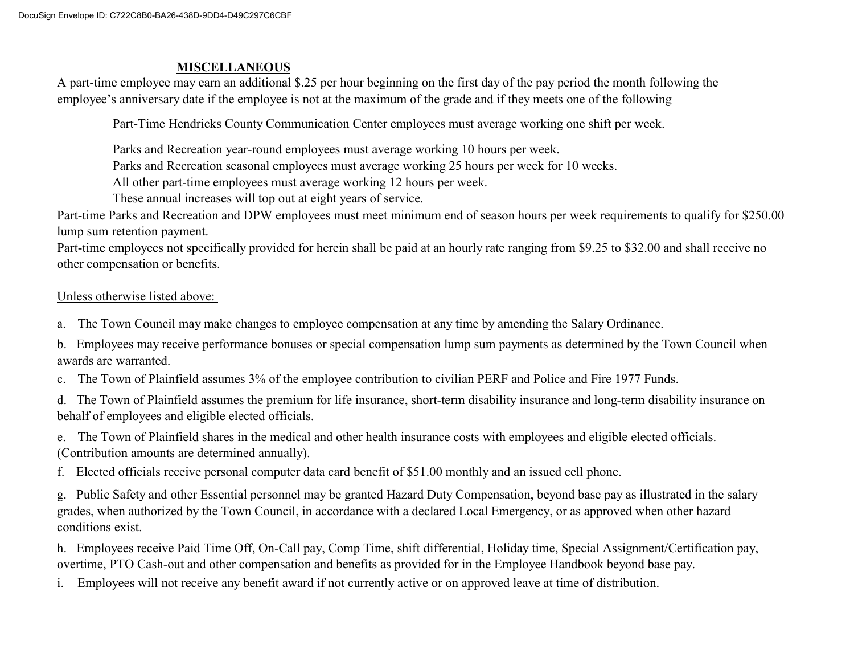#### MISCELLANEOUS

A part-time employee may earn an additional \$.25 per hour beginning on the first day of the pay period the month following the employee's anniversary date if the employee is not at the maximum of the grade and if they meets one of the following

Part-Time Hendricks County Communication Center employees must average working one shift per week.

Parks and Recreation year-round employees must average working 10 hours per week.

Parks and Recreation seasonal employees must average working 25 hours per week for 10 weeks.

All other part-time employees must average working 12 hours per week.

These annual increases will top out at eight years of service.

Part-time Parks and Recreation and DPW employees must meet minimum end of season hours per week requirements to qualify for \$250.00 lump sum retention payment.

Part-time employees not specifically provided for herein shall be paid at an hourly rate ranging from \$9.25 to \$32.00 and shall receive no other compensation or benefits.

Unless otherwise listed above:

a. The Town Council may make changes to employee compensation at any time by amending the Salary Ordinance.

b. Employees may receive performance bonuses or special compensation lump sum payments as determined by the Town Council when awards are warranted.

c. The Town of Plainfield assumes 3% of the employee contribution to civilian PERF and Police and Fire 1977 Funds.

d. The Town of Plainfield assumes the premium for life insurance, short-term disability insurance and long-term disability insurance on behalf of employees and eligible elected officials.

e. The Town of Plainfield shares in the medical and other health insurance costs with employees and eligible elected officials. (Contribution amounts are determined annually).

f. Elected officials receive personal computer data card benefit of \$51.00 monthly and an issued cell phone.

g. Public Safety and other Essential personnel may be granted Hazard Duty Compensation, beyond base pay as illustrated in the salary grades, when authorized by the Town Council, in accordance with a declared Local Emergency, or as approved when other hazard conditions exist.

h. Employees receive Paid Time Off, On-Call pay, Comp Time, shift differential, Holiday time, Special Assignment/Certification pay, overtime, PTO Cash-out and other compensation and benefits as provided for in the Employee Handbook beyond base pay.

i. Employees will not receive any benefit award if not currently active or on approved leave at time of distribution.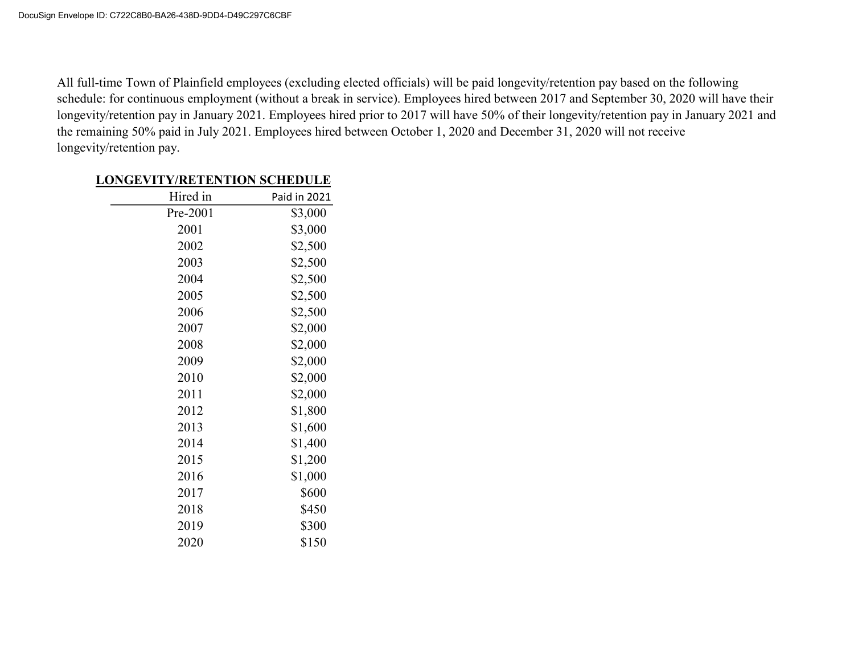All full-time Town of Plainfield employees (excluding elected officials) will be paid longevity/retention pay based on the following schedule: for continuous employment (without a break in service). Employees hired between 2017 and September 30, 2020 will have their longevity/retention pay in January 2021. Employees hired prior to 2017 will have 50% of their longevity/retention pay in January 2021 and the remaining 50% paid in July 2021. Employees hired between October 1, 2020 and December 31, 2020 will not receive longevity/retention pay.

### LONGEVITY/RETENTION SCHEDULE

| Hired in | Paid in 2021 |
|----------|--------------|
| Pre-2001 | \$3,000      |
| 2001     | \$3,000      |
| 2002     | \$2,500      |
| 2003     | \$2,500      |
| 2004     | \$2,500      |
| 2005     | \$2,500      |
| 2006     | \$2,500      |
| 2007     | \$2,000      |
| 2008     | \$2,000      |
| 2009     | \$2,000      |
| 2010     | \$2,000      |
| 2011     | \$2,000      |
| 2012     | \$1,800      |
| 2013     | \$1,600      |
| 2014     | \$1,400      |
| 2015     | \$1,200      |
| 2016     | \$1,000      |
| 2017     | \$600        |
| 2018     | \$450        |
| 2019     | \$300        |
| 2020     | \$150        |